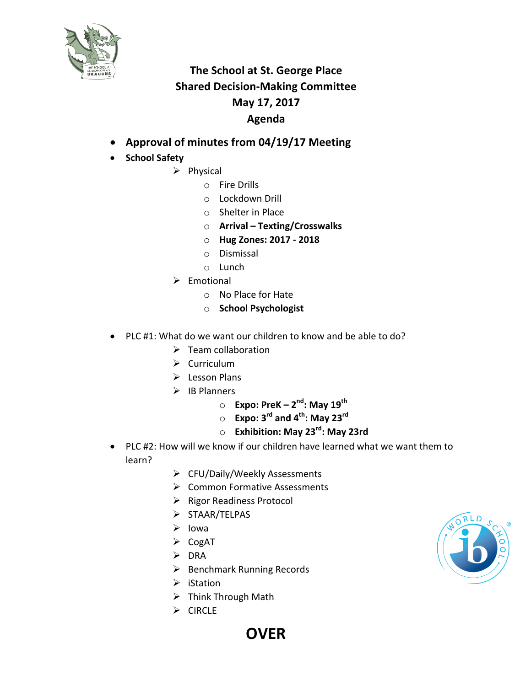

## **The School at St. George Place Shared Decision-Making Committee May 17, 2017 Agenda**

- **Approval of minutes from 04/19/17 Meeting**
- **School Safety**
	- $\triangleright$  Physical
		- $\circ$  Fire Drills
		- o Lockdown Drill
		- $\circ$  Shelter in Place
		- o **Arrival – Texting/Crosswalks**
		- o **Hug Zones: 2017 - 2018**
		- o Dismissal
		- o Lunch
	- $\triangleright$  Emotional
		- o No Place for Hate
		- o **School Psychologist**
- PLC #1: What do we want our children to know and be able to do?
	- $\triangleright$  Team collaboration
	- $\triangleright$  Curriculum
	- $\triangleright$  Lesson Plans
	- $\triangleright$  IB Planners
		- o **Expo: PreK – 2nd: May 19th**
		- o **Expo: 3rd and 4th: May 23rd**
		- o **Exhibition: May 23rd: May 23rd**
- PLC #2: How will we know if our children have learned what we want them to learn?
	- Ø CFU/Daily/Weekly Assessments
	- $\triangleright$  Common Formative Assessments
	- $\triangleright$  Rigor Readiness Protocol
	- Ø STAAR/TELPAS
	- $\triangleright$  lowa
	- $\triangleright$  CogAT
	- $\triangleright$  DRA
	- $\triangleright$  Benchmark Running Records

**OVER**

- $\triangleright$  iStation
- $\triangleright$  Think Through Math
- $\triangleright$  CIRCLE